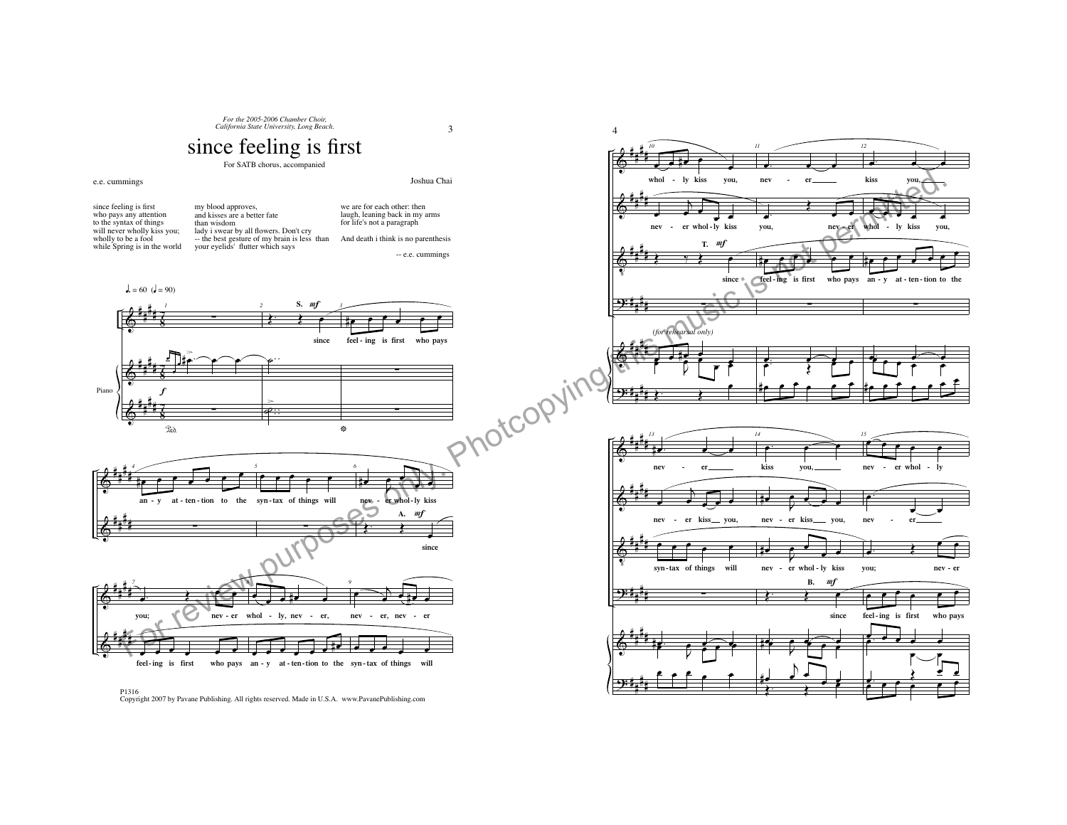*For the 2005-2006 Chamber Choir, California State University, Long Beach.*

## $\mathrm{since}\ \mathop{\textrm{feeling}}\limits_{\textrm{For SATB}\ \textrm{chorus, accompanied}}\ \mathrm{is}\ \mathop{\textrm{first}}\limits_{\textrm{C}}$

e.e. cummings

since feeling is first who pays any attention to the syntax of things will never wholly kiss you;wholly to be a foolwhile Spring is in the world my blood approves, and kisses are a better fate than wisdom lady i swear by all flowers. Don't cry -- the best gesture of my brain is less than your eyelids' flutter which sayswe are for each other: then

 laugh, leaning back in my armsfor life's not a paragraph And death i think is no parenthesis

-- e.e. cummings

3

Joshua Chai







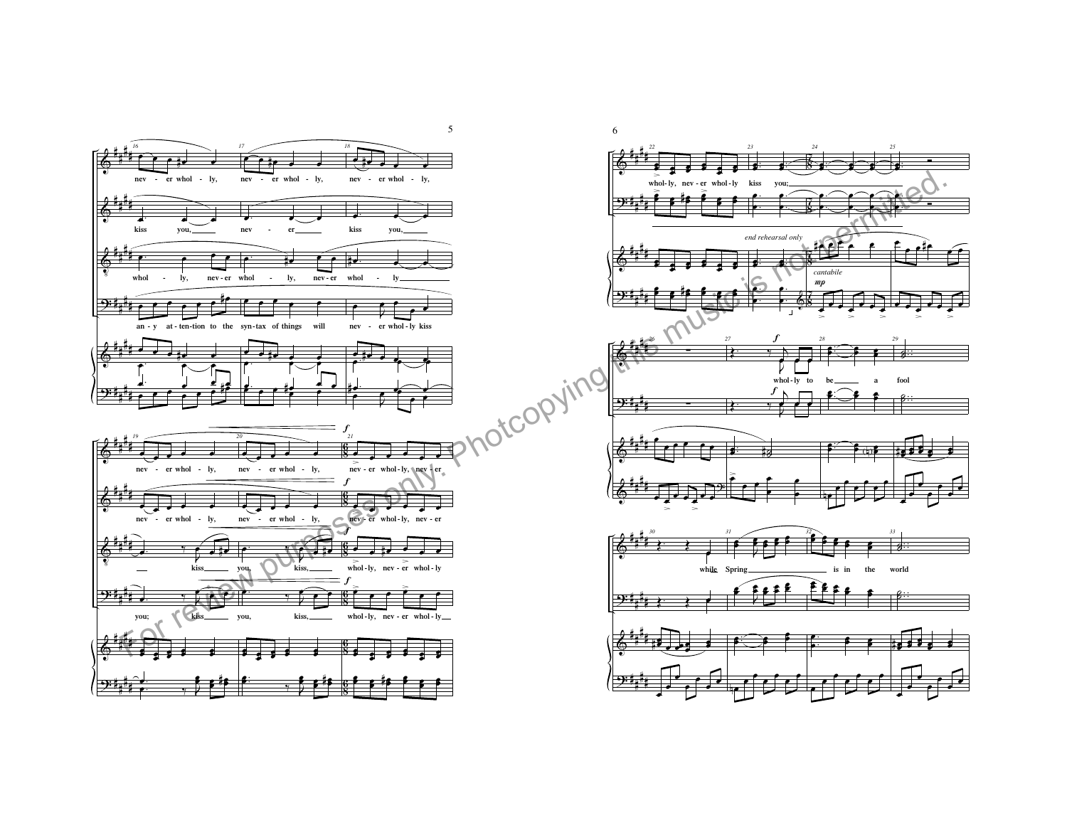

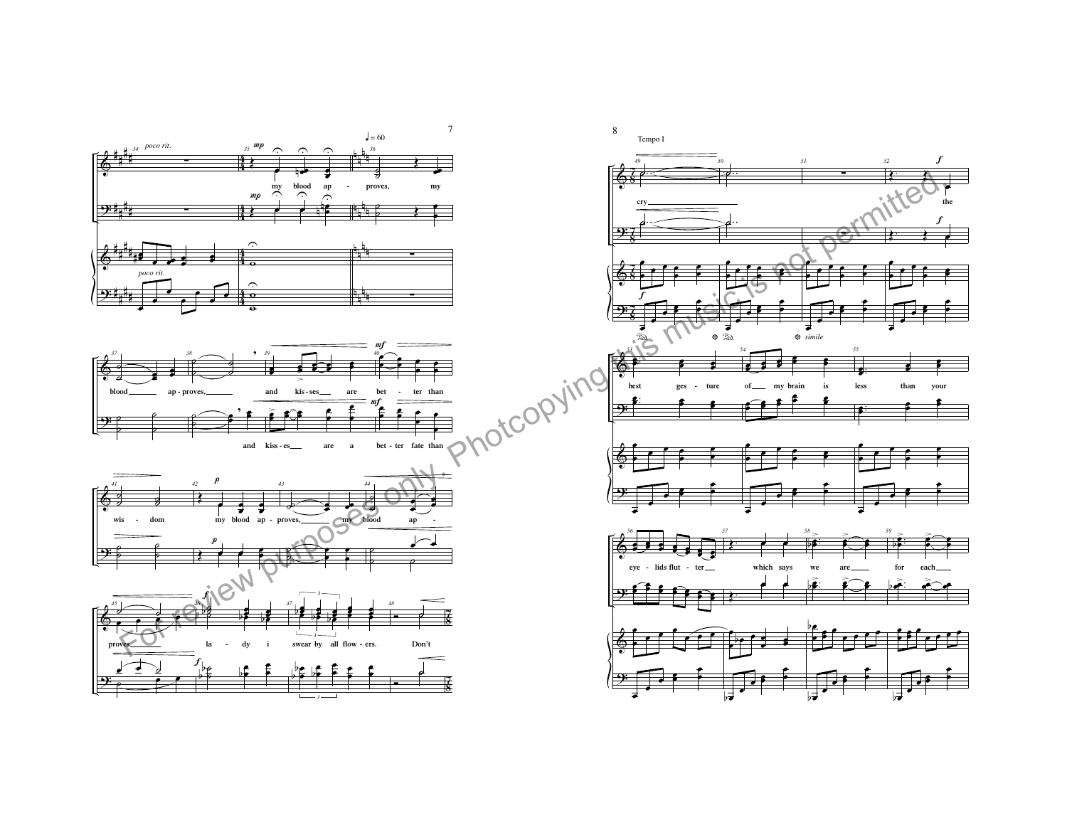



8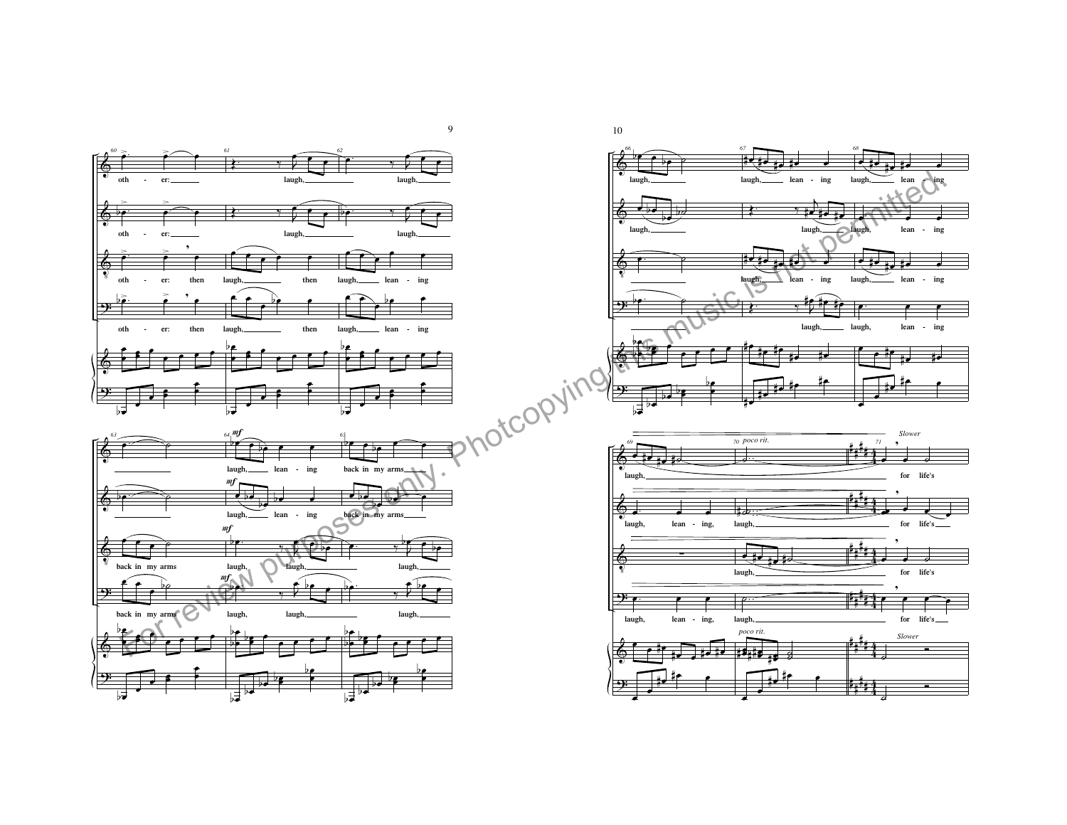







10

9